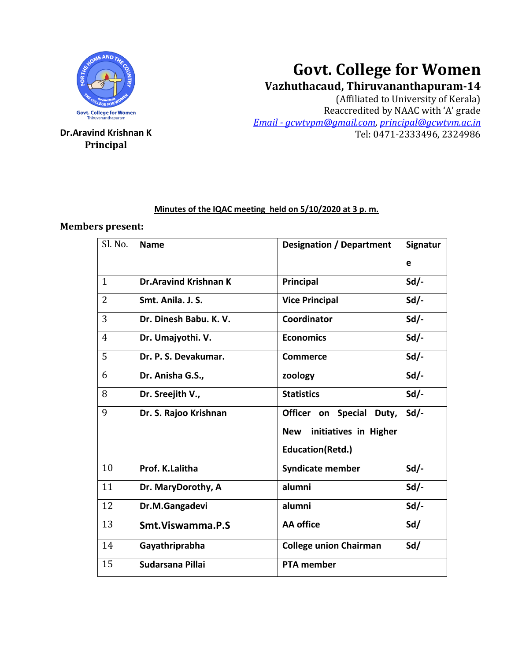

**Principal**

# **Govt. College for Women**

## **Vazhuthacaud, Thiruvananthapuram-14**

(Affiliated to University of Kerala) Reaccredited by NAAC with 'A' grade *Email - [gcwtvpm@gmail.com,](mailto:Email%20-%20gcwtvpm@gmail.com) [principal@gcwtvm.ac.in](mailto:principal@gcwtvm.ac.in)* **Dr.Aravind Krishnan K** Tel: 0471-2333496, 2324986

### **Minutes of the IQAC meeting held on 5/10/2020 at 3 p. m.**

### **Members present:**

| Sl. No.        | <b>Name</b>                  | <b>Designation / Department</b>     | <b>Signatur</b> |
|----------------|------------------------------|-------------------------------------|-----------------|
|                |                              |                                     | e               |
| $\mathbf{1}$   | <b>Dr.Aravind Krishnan K</b> | Principal                           | $Sd$ /-         |
| $\overline{2}$ | Smt. Anila. J. S.            | <b>Vice Principal</b>               | $Sd$ .          |
| 3              | Dr. Dinesh Babu. K. V.       | Coordinator                         | $Sd$ /-         |
| $\overline{4}$ | Dr. Umajyothi. V.            | <b>Economics</b>                    | $Sd$ .          |
| 5              | Dr. P. S. Devakumar.         | <b>Commerce</b>                     | $Sd$ /-         |
| 6              | Dr. Anisha G.S.,             | zoology                             | $Sd$ /-         |
| 8              | Dr. Sreejith V.,             | <b>Statistics</b>                   | $Sd$ .          |
| 9              | Dr. S. Rajoo Krishnan        | Officer on Special<br>Duty,         | $Sd$ /-         |
|                |                              | initiatives in Higher<br><b>New</b> |                 |
|                |                              | <b>Education(Retd.)</b>             |                 |
| 10             | Prof. K.Lalitha              | <b>Syndicate member</b>             | $Sd$ -          |
| 11             | Dr. MaryDorothy, A           | alumni                              | $Sd$ .          |
| 12             | Dr.M.Gangadevi               | alumni                              | $Sd$ -          |
| 13             | Smt. Viswamma. P.S           | <b>AA</b> office                    | Sd/             |
| 14             | Gayathriprabha               | <b>College union Chairman</b>       | Sd/             |
| 15             | Sudarsana Pillai             | <b>PTA member</b>                   |                 |